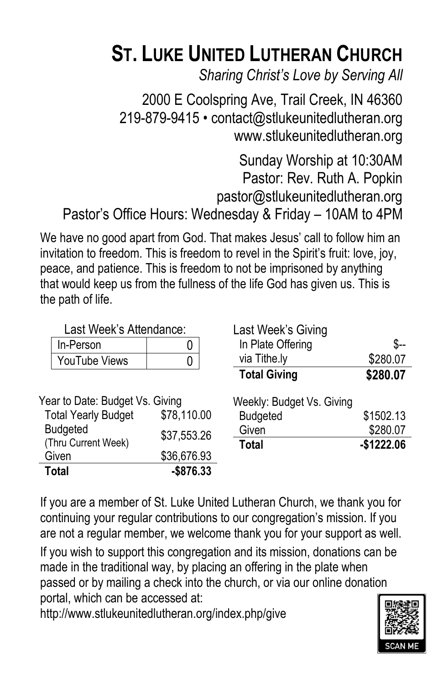# **ST. LUKE UNITED LUTHERAN CHURCH**

*Sharing Christ's Love by Serving All*

2000 E Coolspring Ave, Trail Creek, IN 46360 219-879-9415 • contact@stlukeunitedlutheran.org www.stlukeunitedlutheran.org

Sunday Worship at 10:30AM Pastor: Rev. Ruth A. Popkin pastor@stlukeunitedlutheran.org Pastor's Office Hours: Wednesday & Friday – 10AM to 4PM

We have no good apart from God. That makes Jesus' call to follow him an invitation to freedom. This is freedom to revel in the Spirit's fruit: love, joy, peace, and patience. This is freedom to not be imprisoned by anything that would keep us from the fullness of the life God has given us. This is the path of life.

| Last Week's Attendance:         |             | Last Week's Giving        |             |
|---------------------------------|-------------|---------------------------|-------------|
| In-Person                       | U           | In Plate Offering         | \$--        |
| YouTube Views                   | 0           | via Tithe.ly              | \$280.07    |
|                                 |             | <b>Total Giving</b>       | \$280.07    |
| Year to Date: Budget Vs. Giving |             | Weekly: Budget Vs. Giving |             |
| <b>Total Yearly Budget</b>      | \$78,110.00 | <b>Budgeted</b>           | \$1502.13   |
| <b>Budgeted</b>                 | \$37,553.26 | Given                     | \$280.07    |
| (Thru Current Week)             |             | Total                     | $-$1222.06$ |
| Given                           | \$36,676.93 |                           |             |
| <b>Total</b>                    | $-$876.33$  |                           |             |

If you are a member of St. Luke United Lutheran Church, we thank you for continuing your regular contributions to our congregation's mission. If you are not a regular member, we welcome thank you for your support as well.

If you wish to support this congregation and its mission, donations can be made in the traditional way, by placing an offering in the plate when passed or by mailing a check into the church, or via our online donation portal, which can be accessed at:

http://www.stlukeunitedlutheran.org/index.php/give

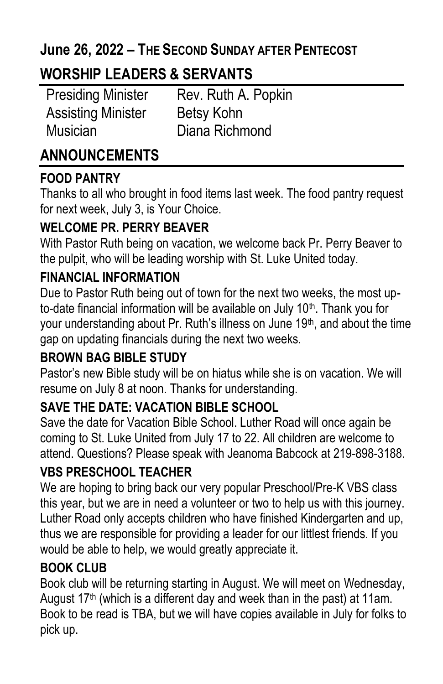### **June 26, 2022 – THE SECOND SUNDAY AFTER PENTECOST**

## **WORSHIP LEADERS & SERVANTS**

Assisting Minister Betsy Kohn Musician Diana Richmond

Presiding Minister Rev. Ruth A. Popkin

## **ANNOUNCEMENTS**

#### **FOOD PANTRY**

Thanks to all who brought in food items last week. The food pantry request for next week, July 3, is Your Choice.

#### **WELCOME PR. PERRY BEAVER**

With Pastor Ruth being on vacation, we welcome back Pr. Perry Beaver to the pulpit, who will be leading worship with St. Luke United today.

#### **FINANCIAL INFORMATION**

Due to Pastor Ruth being out of town for the next two weeks, the most upto-date financial information will be available on July 10<sup>th</sup>. Thank you for your understanding about Pr. Ruth's illness on June  $19<sup>th</sup>$ , and about the time gap on updating financials during the next two weeks.

#### **BROWN BAG BIBLE STUDY**

Pastor's new Bible study will be on hiatus while she is on vacation. We will resume on July 8 at noon. Thanks for understanding.

#### **SAVE THE DATE: VACATION BIBLE SCHOOL**

Save the date for Vacation Bible School. Luther Road will once again be coming to St. Luke United from July 17 to 22. All children are welcome to attend. Questions? Please speak with Jeanoma Babcock at 219-898-3188.

#### **VBS PRESCHOOL TEACHER**

We are hoping to bring back our very popular Preschool/Pre-K VBS class this year, but we are in need a volunteer or two to help us with this journey. Luther Road only accepts children who have finished Kindergarten and up, thus we are responsible for providing a leader for our littlest friends. If you would be able to help, we would greatly appreciate it.

#### **BOOK CLUB**

Book club will be returning starting in August. We will meet on Wednesday, August  $17<sup>th</sup>$  (which is a different day and week than in the past) at 11am. Book to be read is TBA, but we will have copies available in July for folks to pick up.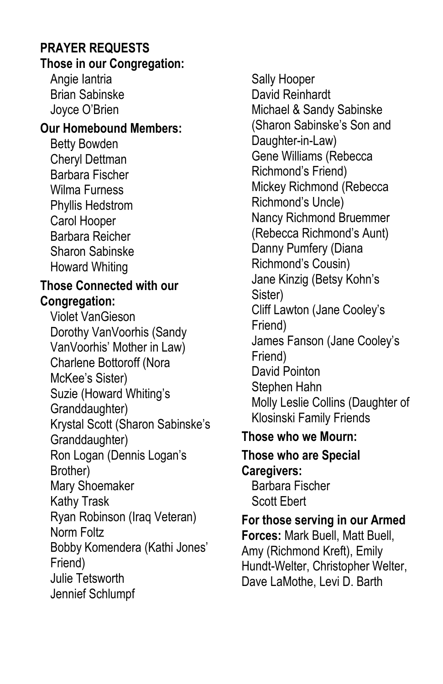#### **PRAYER REQUESTS Those in our Congregation:**

Angie Iantria Brian Sabinske Joyce O'Brien

#### **Our Homebound Members:**

Betty Bowden Cheryl Dettman Barbara Fischer Wilma Furness Phyllis Hedstrom Carol Hooper Barbara Reicher Sharon Sabinske Howard Whiting

#### **Those Connected with our Congregation:**

Violet VanGieson Dorothy VanVoorhis (Sandy VanVoorhis' Mother in Law) Charlene Bottoroff (Nora McKee's Sister) Suzie (Howard Whiting's Granddaughter) Krystal Scott (Sharon Sabinske's Granddaughter) Ron Logan (Dennis Logan's Brother) Mary Shoemaker Kathy Trask Ryan Robinson (Iraq Veteran) Norm Foltz Bobby Komendera (Kathi Jones' Friend) Julie Tetsworth Jennief Schlumpf

Sally Hooper David Reinhardt Michael & Sandy Sabinske (Sharon Sabinske's Son and Daughter-in-Law) Gene Williams (Rebecca Richmond's Friend) Mickey Richmond (Rebecca Richmond's Uncle) Nancy Richmond Bruemmer (Rebecca Richmond's Aunt) Danny Pumfery (Diana Richmond's Cousin) Jane Kinzig (Betsy Kohn's Sister) Cliff Lawton (Jane Cooley's Friend) James Fanson (Jane Cooley's Friend) David Pointon Stephen Hahn Molly Leslie Collins (Daughter of Klosinski Family Friends **Those who we Mourn:**

# **Those who are Special**

**Caregivers:** Barbara Fischer Scott Ebert

**For those serving in our Armed Forces:** Mark Buell, Matt Buell, Amy (Richmond Kreft), Emily Hundt-Welter, Christopher Welter, Dave LaMothe, Levi D. Barth